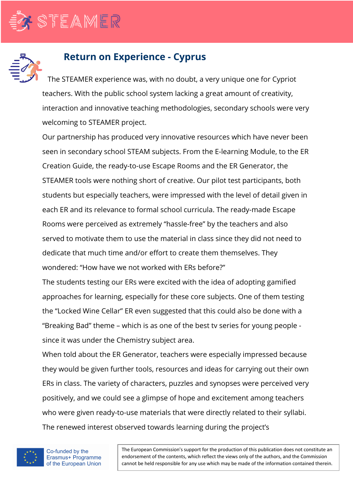



## **Return on Experience - Cyprus**

The STEAMER experience was, with no doubt, a very unique one for Cypriot teachers. With the public school system lacking a great amount of creativity, interaction and innovative teaching methodologies, secondary schools were very welcoming to STEAMER project.

Our partnership has produced very innovative resources which have never been seen in secondary school STEAM subjects. From the E-learning Module, to the ER Creation Guide, the ready-to-use Escape Rooms and the ER Generator, the STEAMER tools were nothing short of creative. Our pilot test participants, both students but especially teachers, were impressed with the level of detail given in each ER and its relevance to formal school curricula. The ready-made Escape Rooms were perceived as extremely "hassle-free" by the teachers and also served to motivate them to use the material in class since they did not need to dedicate that much time and/or effort to create them themselves. They wondered: "How have we not worked with ERs before?"

The students testing our ERs were excited with the idea of adopting gamified approaches for learning, especially for these core subjects. One of them testing the "Locked Wine Cellar" ER even suggested that this could also be done with a "Breaking Bad" theme – which is as one of the best tv series for young people since it was under the Chemistry subject area.

When told about the ER Generator, teachers were especially impressed because they would be given further tools, resources and ideas for carrying out their own ERs in class. The variety of characters, puzzles and synopses were perceived very positively, and we could see a glimpse of hope and excitement among teachers who were given ready-to-use materials that were directly related to their syllabi. The renewed interest observed towards learning during the project's



The European Commission's support for the production of this publication does not constitute an endorsement of the contents, which reflect the views only of the authors, and the Commission cannot be held responsible for any use which may be made of the information contained therein.